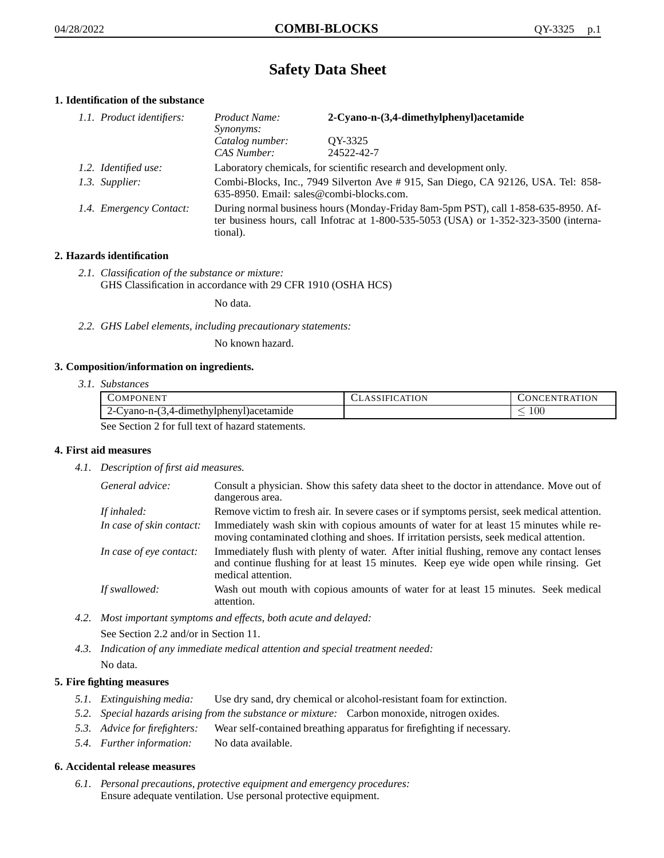# **Safety Data Sheet**

## **1. Identification of the substance**

| 1.1. Product identifiers: | Product Name:<br><i>Synonyms:</i>                                                                                                                                                       | 2-Cyano-n-(3,4-dimethylphenyl)acetamide |
|---------------------------|-----------------------------------------------------------------------------------------------------------------------------------------------------------------------------------------|-----------------------------------------|
|                           | Catalog number:<br>CAS Number:                                                                                                                                                          | OY-3325<br>24522-42-7                   |
| 1.2. Identified use:      | Laboratory chemicals, for scientific research and development only.                                                                                                                     |                                         |
| 1.3. Supplier:            | Combi-Blocks, Inc., 7949 Silverton Ave # 915, San Diego, CA 92126, USA. Tel: 858-<br>635-8950. Email: sales@combi-blocks.com.                                                           |                                         |
| 1.4. Emergency Contact:   | During normal business hours (Monday-Friday 8am-5pm PST), call 1-858-635-8950. Af-<br>ter business hours, call Infotrac at 1-800-535-5053 (USA) or 1-352-323-3500 (interna-<br>tional). |                                         |

## **2. Hazards identification**

*2.1. Classification of the substance or mixture:* GHS Classification in accordance with 29 CFR 1910 (OSHA HCS)

No data.

*2.2. GHS Label elements, including precautionary statements:*

No known hazard.

#### **3. Composition/information on ingredients.**

*3.1. Substances*

| COMPONENT                                        | CLASSIFICATION | <b>CONCENTRATION</b> |
|--------------------------------------------------|----------------|----------------------|
| $2$ -Cyano-n- $(3,4$ -dimethylphenyl) acetamide  |                | -00                  |
| See Section 2 for full text of hegard statements |                |                      |

See Section 2 for full text of hazard statements.

## **4. First aid measures**

*4.1. Description of first aid measures.*

| General advice:          | Consult a physician. Show this safety data sheet to the doctor in attendance. Move out of<br>dangerous area.                                                                                            |
|--------------------------|---------------------------------------------------------------------------------------------------------------------------------------------------------------------------------------------------------|
| If inhaled:              | Remove victim to fresh air. In severe cases or if symptoms persist, seek medical attention.                                                                                                             |
| In case of skin contact: | Immediately wash skin with copious amounts of water for at least 15 minutes while re-<br>moving contaminated clothing and shoes. If irritation persists, seek medical attention.                        |
| In case of eye contact:  | Immediately flush with plenty of water. After initial flushing, remove any contact lenses<br>and continue flushing for at least 15 minutes. Keep eye wide open while rinsing. Get<br>medical attention. |
| If swallowed:            | Wash out mouth with copious amounts of water for at least 15 minutes. Seek medical<br>attention.                                                                                                        |

*4.2. Most important symptoms and effects, both acute and delayed:* See Section 2.2 and/or in Section 11.

*4.3. Indication of any immediate medical attention and special treatment needed:* No data.

## **5. Fire fighting measures**

- *5.1. Extinguishing media:* Use dry sand, dry chemical or alcohol-resistant foam for extinction.
- *5.2. Special hazards arising from the substance or mixture:* Carbon monoxide, nitrogen oxides.
- *5.3. Advice for firefighters:* Wear self-contained breathing apparatus for firefighting if necessary.
- *5.4. Further information:* No data available.

#### **6. Accidental release measures**

*6.1. Personal precautions, protective equipment and emergency procedures:* Ensure adequate ventilation. Use personal protective equipment.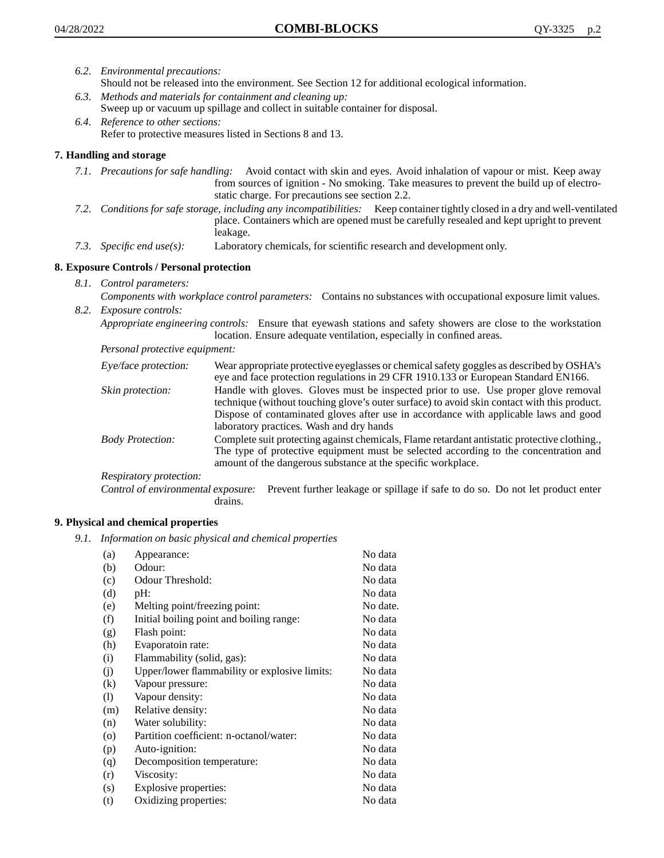- *6.2. Environmental precautions:* Should not be released into the environment. See Section 12 for additional ecological information.
- *6.3. Methods and materials for containment and cleaning up:* Sweep up or vacuum up spillage and collect in suitable container for disposal.
- *6.4. Reference to other sections:* Refer to protective measures listed in Sections 8 and 13.

## **7. Handling and storage**

- *7.1. Precautions for safe handling:* Avoid contact with skin and eyes. Avoid inhalation of vapour or mist. Keep away from sources of ignition - No smoking. Take measures to prevent the build up of electrostatic charge. For precautions see section 2.2.
- *7.2. Conditions for safe storage, including any incompatibilities:* Keep container tightly closed in a dry and well-ventilated place. Containers which are opened must be carefully resealed and kept upright to prevent leakage.
- *7.3. Specific end use(s):* Laboratory chemicals, for scientific research and development only.

## **8. Exposure Controls / Personal protection**

- *8.1. Control parameters:*
- *Components with workplace control parameters:* Contains no substances with occupational exposure limit values. *8.2. Exposure controls:*

*Appropriate engineering controls:* Ensure that eyewash stations and safety showers are close to the workstation location. Ensure adequate ventilation, especially in confined areas.

*Personal protective equipment:*

| Eye/face protection:    | Wear appropriate protective eyeglasses or chemical safety goggles as described by OSHA's<br>eye and face protection regulations in 29 CFR 1910.133 or European Standard EN166.                                                                                                                                         |
|-------------------------|------------------------------------------------------------------------------------------------------------------------------------------------------------------------------------------------------------------------------------------------------------------------------------------------------------------------|
| Skin protection:        | Handle with gloves. Gloves must be inspected prior to use. Use proper glove removal<br>technique (without touching glove's outer surface) to avoid skin contact with this product.<br>Dispose of contaminated gloves after use in accordance with applicable laws and good<br>laboratory practices. Wash and dry hands |
| <b>Body Protection:</b> | Complete suit protecting against chemicals, Flame retardant antistatic protective clothing.,<br>The type of protective equipment must be selected according to the concentration and<br>amount of the dangerous substance at the specific workplace.                                                                   |
| Respiratory protection: |                                                                                                                                                                                                                                                                                                                        |

Control of environmental exposure: Prevent further leakage or spillage if safe to do so. Do not let product enter drains.

## **9. Physical and chemical properties**

*9.1. Information on basic physical and chemical properties*

| (a)               | Appearance:                                   | No data  |
|-------------------|-----------------------------------------------|----------|
| (b)               | Odour:                                        | No data  |
| (c)               | Odour Threshold:                              | No data  |
| (d)               | pH:                                           | No data  |
| (e)               | Melting point/freezing point:                 | No date. |
| (f)               | Initial boiling point and boiling range:      | No data  |
| (g)               | Flash point:                                  | No data  |
| (h)               | Evaporatoin rate:                             | No data  |
| (i)               | Flammability (solid, gas):                    | No data  |
| (j)               | Upper/lower flammability or explosive limits: | No data  |
| $\left( k\right)$ | Vapour pressure:                              | No data  |
| (1)               | Vapour density:                               | No data  |
| (m)               | Relative density:                             | No data  |
| (n)               | Water solubility:                             | No data  |
| $\circ$           | Partition coefficient: n-octanol/water:       | No data  |
| (p)               | Auto-ignition:                                | No data  |
| (q)               | Decomposition temperature:                    | No data  |
| (r)               | Viscosity:                                    | No data  |
| (s)               | Explosive properties:                         | No data  |
| (t)               | Oxidizing properties:                         | No data  |